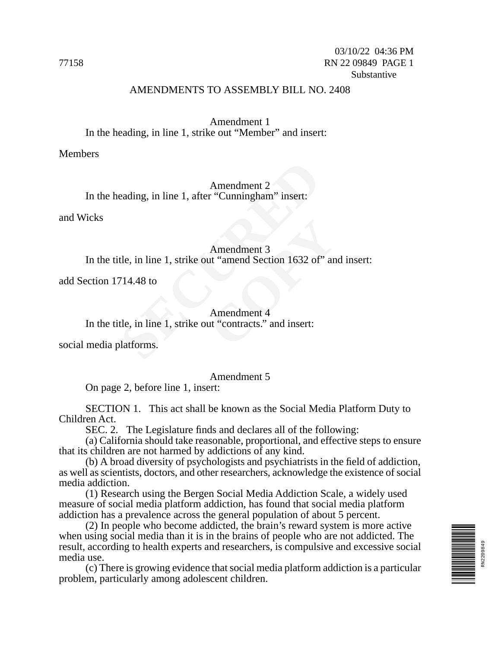#### AMENDMENTS TO ASSEMBLY BILL NO. 2408

Amendment 1 In the heading, in line 1, strike out "Member" and insert:

Members

Amendment 2 In the heading, in line 1, after "Cunningham" insert:

and Wicks

#### Amendment 3

In the title, in line 1, strike out "amend Section 1632 of" and insert:

add Section 1714.48 to

# Amendment 2<br>
eading, in line 1, after "Cunningham" insert:<br>
Amendment 3<br>
tle, in line 1, strike out "amend Section 1632 of<br>
714.48 to<br>
Amendment 4<br>
tle, in line 1, strike out "contracts." and insert:<br>
llatforms. Amendment 3<br>
ut "amend Section 1632 of" an<br>
Amendment 4<br>
ut "contracts." and insert: Amendment 4 In the title, in line 1, strike out "contracts." and insert:

social media platforms.

#### Amendment 5

On page 2, before line 1, insert:

SECTION 1. This act shall be known as the Social Media Platform Duty to Children Act.

SEC. 2. The Legislature finds and declares all of the following:

(a) California should take reasonable, proportional, and effective steps to ensure that its children are not harmed by addictions of any kind.

(b) A broad diversity of psychologists and psychiatrists in the field of addiction, as well as scientists, doctors, and other researchers, acknowledge the existence of social media addiction.

(1) Research using the Bergen Social Media Addiction Scale, a widely used measure of social media platform addiction, has found that social media platform addiction has a prevalence across the general population of about 5 percent.

(2) In people who become addicted, the brain's reward system is more active when using social media than it is in the brains of people who are not addicted. The result, according to health experts and researchers, is compulsive and excessive social media use.

(c) There is growing evidence that social media platform addiction is a particular problem, particularly among adolescent children.

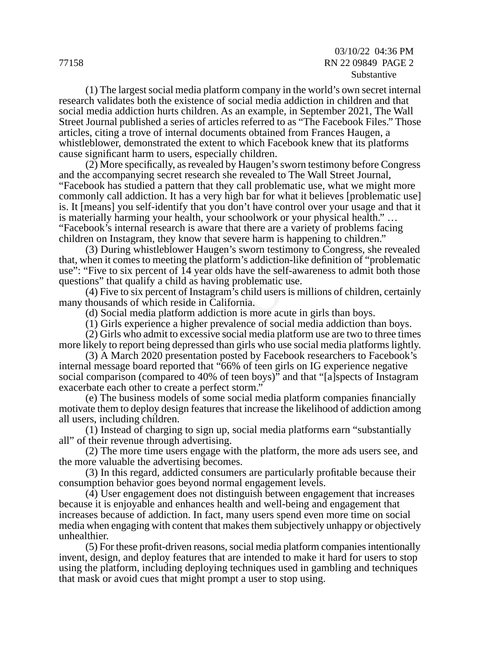(1) The largest social media platform company in the world's own secret internal research validates both the existence of social media addiction in children and that social media addiction hurts children. As an example, in September 2021, The Wall Street Journal published a series of articles referred to as "The Facebook Files." Those articles, citing a trove of internal documents obtained from Frances Haugen, a whistleblower, demonstrated the extent to which Facebook knew that its platforms cause significant harm to users, especially children.

e specifically, as revealed by Haugen's sworn test<br>panying secret research she revealed to The Wa<br>s studied a pattern that they call problematic use<br>I addiction. It has a very high bar for what it bel<br>you self-identify tha (2) More specifically, as revealed by Haugen's sworn testimony before Congress and the accompanying secret research she revealed to The Wall Street Journal, "Facebook has studied a pattern that they call problematic use, what we might more commonly call addiction. It has a very high bar for what it believes [problematic use] is. It [means] you self-identify that you don't have control over your usage and that it is materially harming your health, your schoolwork or your physical health." … "Facebook's internal research is aware that there are a variety of problems facing children on Instagram, they know that severe harm is happening to children."

Fracture that there are a variety of plat severe harm is happening to<br>that severe harm is happening to<br>ugen's sworn testimony to Con<br>platform's addiction-like definit<br>ar olds have the self-awareness<br>aving problematic use.<br> (3) During whistleblower Haugen's sworn testimony to Congress, she revealed that, when it comes to meeting the platform's addiction-like definition of "problematic use": "Five to six percent of 14 year olds have the self-awareness to admit both those questions" that qualify a child as having problematic use.

(4) Five to six percent of Instagram's child users is millions of children, certainly many thousands of which reside in California.

(d) Social media platform addiction is more acute in girls than boys.

(1) Girls experience a higher prevalence of social media addiction than boys.

(2) Girls who admit to excessive social media platform use are two to three times more likely to report being depressed than girls who use social media platforms lightly.

(3) A March 2020 presentation posted by Facebook researchers to Facebook's internal message board reported that "66% of teen girls on IG experience negative social comparison (compared to 40% of teen boys)<sup>3</sup> and that "[a]spects of Instagram exacerbate each other to create a perfect storm.'

(e) The business models of some social media platform companies financially motivate them to deploy design features that increase the likelihood of addiction among all users, including children.

(1) Instead of charging to sign up, social media platforms earn "substantially all" of their revenue through advertising.

(2) The more time users engage with the platform, the more ads users see, and the more valuable the advertising becomes.

(3) In this regard, addicted consumers are particularly profitable because their consumption behavior goes beyond normal engagement levels.

(4) User engagement does not distinguish between engagement that increases because it is enjoyable and enhances health and well-being and engagement that increases because of addiction. In fact, many users spend even more time on social media when engaging with content that makes them subjectively unhappy or objectively unhealthier.

(5) For these profit-driven reasons, social media platform companies intentionally invent, design, and deploy features that are intended to make it hard for users to stop using the platform, including deploying techniques used in gambling and techniques that mask or avoid cues that might prompt a user to stop using.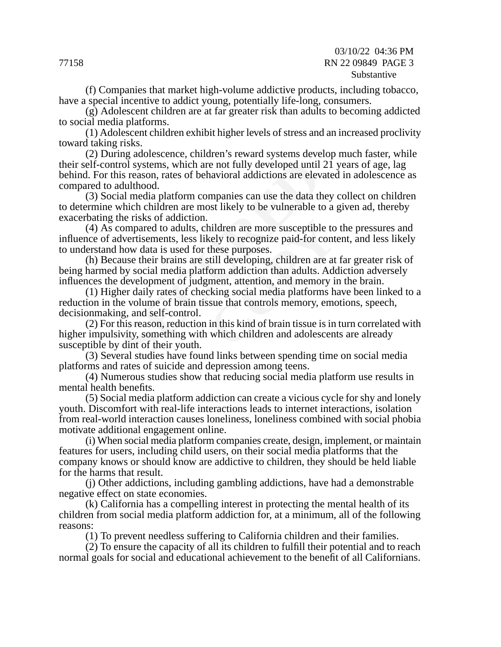03/10/22 04:36 PM 77158 RN 22 09849 PAGE 3 Substantive

(f) Companies that market high-volume addictive products, including tobacco, have a special incentive to addict young, potentially life-long, consumers.

(g) Adolescent children are at far greater risk than adults to becoming addicted to social media platforms.

(1) Adolescent children exhibit higher levels of stress and an increased proclivity toward taking risks.

rol systems, which are not fully developed until<br>is reason, rates of behavioral addictions are elev<br>dulthood.<br>al media platform companies can use the data th<br>which children are most likely to be vulnerable to<br>he risks of a (2) During adolescence, children's reward systems develop much faster, while their self-control systems, which are not fully developed until 21 years of age, lag behind. For this reason, rates of behavioral addictions are elevated in adolescence as compared to adulthood.

(3) Social media platform companies can use the data they collect on children to determine which children are most likely to be vulnerable to a given ad, thereby exacerbating the risks of addiction.

(4) As compared to adults, children are more susceptible to the pressures and influence of advertisements, less likely to recognize paid-for content, and less likely to understand how data is used for these purposes.

(h) Because their brains are still developing, children are at far greater risk of being harmed by social media platform addiction than adults. Addiction adversely influences the development of judgment, attention, and memory in the brain.

hildren are more susceptible to<br>kely to recognize paid-for cont<br>these purposes.<br>till developing, children are at<br>form addiction than adults. Add<br>ment, attention, and memory in<br>cking social media platforms has<br>use that cont (1) Higher daily rates of checking social media platforms have been linked to a reduction in the volume of brain tissue that controls memory, emotions, speech, decisionmaking, and self-control.

(2) For this reason, reduction in this kind of brain tissue is in turn correlated with higher impulsivity, something with which children and adolescents are already susceptible by dint of their youth.

(3) Several studies have found links between spending time on social media platforms and rates of suicide and depression among teens.

(4) Numerous studies show that reducing social media platform use results in mental health benefits.

(5) Social media platform addiction can create a vicious cycle for shy and lonely youth. Discomfort with real-life interactions leads to internet interactions, isolation from real-world interaction causes loneliness, loneliness combined with social phobia motivate additional engagement online.

(i) When social media platform companies create, design, implement, or maintain features for users, including child users, on their social media platforms that the company knows or should know are addictive to children, they should be held liable for the harms that result.

(j) Other addictions, including gambling addictions, have had a demonstrable negative effect on state economies.

(k) California has a compelling interest in protecting the mental health of its children from social media platform addiction for, at a minimum, all of the following reasons:

(1) To prevent needless suffering to California children and their families.

(2) To ensure the capacity of all its children to fulfill their potential and to reach normal goals for social and educational achievement to the benefit of all Californians.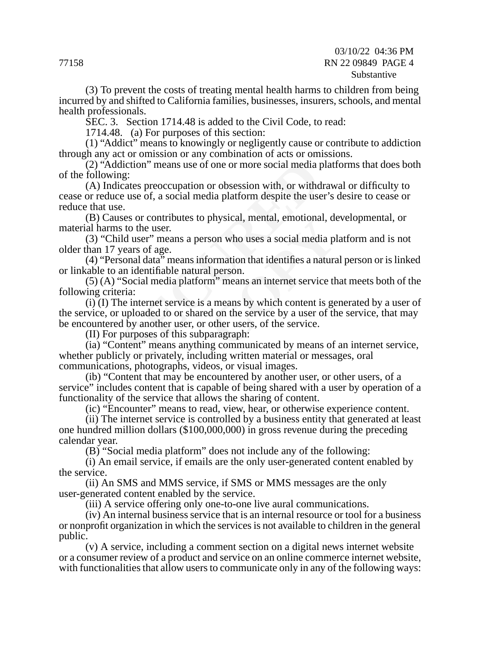#### 03/10/22 04:36 PM 77158 RN 22 09849 PAGE 4 Substantive

(3) To prevent the costs of treating mental health harms to children from being incurred by and shifted to California families, businesses, insurers, schools, and mental health professionals.

SEC. 3. Section 1714.48 is added to the Civil Code, to read:

1714.48. (a) For purposes of this section:

(1) "Addict" means to knowingly or negligently cause or contribute to addiction through any act or omission or any combination of acts or omissions.

(2) "Addiction" means use of one or more social media platforms that does both of the following:

(A) Indicates preoccupation or obsession with, or withdrawal or difficulty to cease or reduce use of, a social media platform despite the user's desire to cease or reduce that use.

(B) Causes or contributes to physical, mental, emotional, developmental, or material harms to the user.

(3) "Child user" means a person who uses a social media platform and is not older than 17 years of age.

(4) "Personal data" means information that identifies a natural person or is linked or linkable to an identifiable natural person.

(5) (A) "Social media platform" means an internet service that meets both of the following criteria:

diction" means use of one or more social media pag:<br>
icates preoccupation or obsession with, or withd<br>
e use of, a social media platform despite the use<br>
e.<br>
ses or contributes to physical, mental, emotiona<br>
s to the user. physical, including, chouonal, do<br>son who uses a social media pl<br>ormation that identifies a natural<br>person.<br>m'' means an internet service th<br>a means by which content is ge<br>d on the service by a user of th<br>other users, of t (i) (I) The internet service is a means by which content is generated by a user of the service, or uploaded to or shared on the service by a user of the service, that may be encountered by another user, or other users, of the service.

(II) For purposes of this subparagraph:

(ia) "Content" means anything communicated by means of an internet service, whether publicly or privately, including written material or messages, oral communications, photographs, videos, or visual images.

(ib) "Content that may be encountered by another user, or other users, of a service" includes content that is capable of being shared with a user by operation of a functionality of the service that allows the sharing of content.

(ic) "Encounter" means to read, view, hear, or otherwise experience content.

(ii) The internet service is controlled by a business entity that generated at least one hundred million dollars (\$100,000,000) in gross revenue during the preceding calendar year.

(B) "Social media platform" does not include any of the following:

(i) An email service, if emails are the only user-generated content enabled by the service.

(ii) An SMS and MMS service, if SMS or MMS messages are the only user-generated content enabled by the service.

(iii) A service offering only one-to-one live aural communications.

(iv) An internal business service that is an internal resource or tool for a business or nonprofit organization in which the services is not available to children in the general public.

(v) A service, including a comment section on a digital news internet website or a consumer review of a product and service on an online commerce internet website, with functionalities that allow users to communicate only in any of the following ways: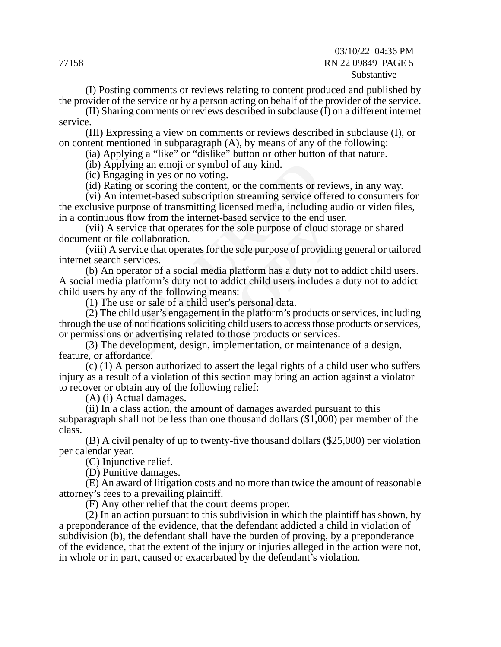#### 03/10/22 04:36 PM 77158 RN 22 09849 PAGE 5 Substantive

(I) Posting comments or reviews relating to content produced and published by the provider of the service or by a person acting on behalf of the provider of the service.

(II) Sharing comments or reviews described in subclause (I) on a different internet service.

(III) Expressing a view on comments or reviews described in subclause (I), or on content mentioned in subparagraph (A), by means of any of the following:

(ia) Applying a "like" or "dislike" button or other button of that nature.

(ib) Applying an emoji or symbol of any kind.

(ic) Engaging in yes or no voting.

(id) Rating or scoring the content, or the comments or reviews, in any way.

(vi) An internet-based subscription streaming service offered to consumers for the exclusive purpose of transmitting licensed media, including audio or video files, in a continuous flow from the internet-based service to the end user.

(vii) A service that operates for the sole purpose of cloud storage or shared document or file collaboration.

(viii) A service that operates for the sole purpose of providing general or tailored internet search services.

(b) An operator of a social media platform has a duty not to addict child users. A social media platform's duty not to addict child users includes a duty not to addict child users by any of the following means:

(1) The use or sale of a child user's personal data.

bying an emoji or symbol of any kind.<br>
staging in yes or no voting.<br>
ing or scoring the content, or the comments or re<br>
internet-based subscription streaming service of<br>
purpose of transmitting licensed media, includin<br>
is For the sole purpose of cloud st<br>for the sole purpose of cloud st<br>for the sole purpose of providin<br>ledia platform has a duty not to<br>to addict child users includes a<br>means:<br>user's personal data.<br>ent in the platform's produc (2) The child user's engagement in the platform's products or services, including through the use of notifications soliciting child users to access those products or services, or permissions or advertising related to those products or services.

(3) The development, design, implementation, or maintenance of a design, feature, or affordance.

(c) (1) A person authorized to assert the legal rights of a child user who suffers injury as a result of a violation of this section may bring an action against a violator to recover or obtain any of the following relief:

(A) (i) Actual damages.

(ii) In a class action, the amount of damages awarded pursuant to this subparagraph shall not be less than one thousand dollars (\$1,000) per member of the class.

(B) A civil penalty of up to twenty-five thousand dollars (\$25,000) per violation per calendar year.

(C) Injunctive relief.

(D) Punitive damages.

(E) An award of litigation costs and no more than twice the amount of reasonable attorney's fees to a prevailing plaintiff.

(F) Any other relief that the court deems proper.

(2) In an action pursuant to this subdivision in which the plaintiff has shown, by a preponderance of the evidence, that the defendant addicted a child in violation of subdivision (b), the defendant shall have the burden of proving, by a preponderance of the evidence, that the extent of the injury or injuries alleged in the action were not, in whole or in part, caused or exacerbated by the defendant's violation.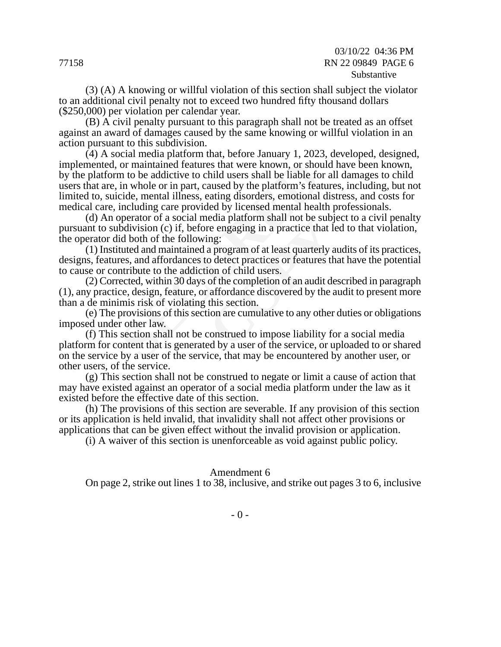(3) (A) A knowing or willful violation of this section shall subject the violator to an additional civil penalty not to exceed two hundred fifty thousand dollars (\$250,000) per violation per calendar year.

(B) A civil penalty pursuant to this paragraph shall not be treated as an offset against an award of damages caused by the same knowing or willful violation in an action pursuant to this subdivision.

or maintained features that were known, or shoun to be addictive to child users shall be liable fo in whole or in part, caused by the platform's featicle, mental illness, eating disorders, emotional including care provided (4) A social media platform that, before January 1, 2023, developed, designed, implemented, or maintained features that were known, or should have been known, by the platform to be addictive to child users shall be liable for all damages to child users that are, in whole or in part, caused by the platform's features, including, but not limited to, suicide, mental illness, eating disorders, emotional distress, and costs for medical care, including care provided by licensed mental health professionals.

(d) An operator of a social media platform shall not be subject to a civil penalty pursuant to subdivision (c) if, before engaging in a practice that led to that violation, the operator did both of the following:

call platform shall not be subjet<br>that leads are engaging in a practice that leads<br>a program of at least quarterly at<br>o detect practices or features the<br>ion of child users.<br>of the completion of an audit de<br>affordance disco (1) Instituted and maintained a program of at least quarterly audits of its practices, designs, features, and affordances to detect practices or features that have the potential to cause or contribute to the addiction of child users.

(2) Corrected, within 30 days of the completion of an audit described in paragraph (1), any practice, design, feature, or affordance discovered by the audit to present more than a de minimis risk of violating this section.

(e) The provisions of this section are cumulative to any other duties or obligations imposed under other law.

(f) This section shall not be construed to impose liability for a social media platform for content that is generated by a user of the service, or uploaded to or shared on the service by a user of the service, that may be encountered by another user, or other users, of the service.

(g) This section shall not be construed to negate or limit a cause of action that may have existed against an operator of a social media platform under the law as it existed before the effective date of this section.

(h) The provisions of this section are severable. If any provision of this section or its application is held invalid, that invalidity shall not affect other provisions or applications that can be given effect without the invalid provision or application.

(i) A waiver of this section is unenforceable as void against public policy.

#### Amendment 6

On page 2, strike out lines 1 to 38, inclusive, and strike out pages 3 to 6, inclusive

 $- 0 -$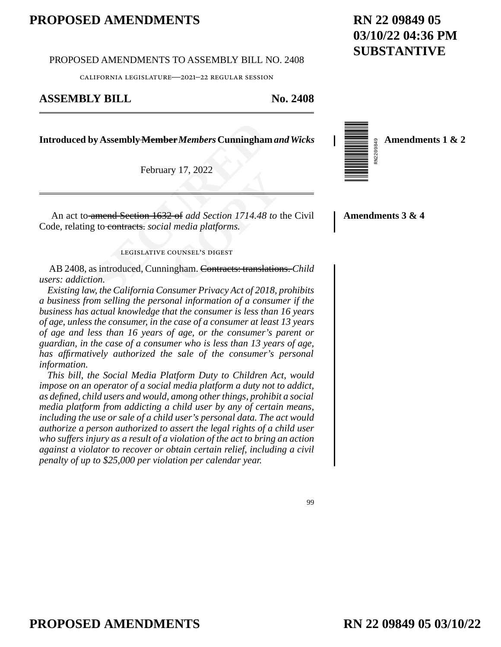#### PROPOSED AMENDMENTS TO ASSEMBLY BILL NO. 2408

california legislature—2021–22 regular session

#### **ASSEMBLY BILL No. 2408**

**Introduced by AssemblyMember***Members* **Cunningham** *and Wicks*

February 17, 2022



 $\frac{1}{28}$  Amendments 1  $\propto$  2 **Amendments 1 & 2**

**SECUTE 18 ASSEMBLY Member Members Cunninghan**<br>
February 17, 2022<br> **SECUTE 1632 of add Section 1714.48**<br> **SECUTE 1632 of add Section 1714.48**<br> **SECUTE 1648**<br> **SECUTE 1648**<br> **SECUTE 1648**<br> **SECUTE 1648**<br> **SECUTE 1648**<br> **SEC** External Section 1714.48 to the<br> **Co** and Section 1714.48 to the<br> **COUNSEL'S DIGEST**<br>
Replay Contracts: translation An act to amend Section 1632 of *add Section 1714.48 to* the Civil Code, relating to contracts. *social media platforms*.

#### legislative counsel's digest

AB 2408, as introduced, Cunningham. Contracts: translations. *Child users: addiction.*

*Existing law, the California Consumer Privacy Act of 2018, prohibits a business from selling the personal information of a consumer if the business has actual knowledge that the consumer is less than 16 years of age, unless the consumer, in the case of a consumer at least 13 years of age and less than 16 years of age, or the consumer's parent or guardian, in the case of a consumer who is less than 13 years of age, has affirmatively authorized the sale of the consumer's personal information.* 

*This bill, the Social Media Platform Duty to Children Act, would impose on an operator of a social media platform a duty not to addict, as defined, child users and would, among other things, prohibit a social media platform from addicting a child user by any of certain means, including the use or sale of a child user's personal data. The act would authorize a person authorized to assert the legal rights of a child user who suffers injury as a result of a violation of the act to bring an action against a violator to recover or obtain certain relief, including a civil penalty of up to \$25,000 per violation per calendar year.* 

**Amendments 3 & 4**

99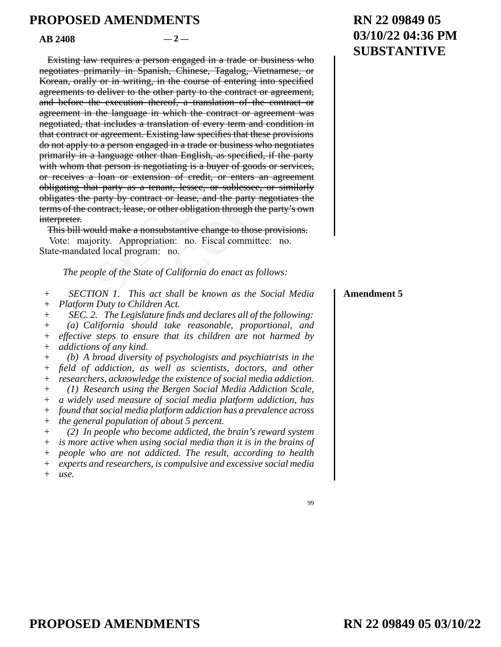$AB$  2408  $-2$ 

nat includes a translation of every term and cor agreement. Existing law specifies that these<br>to a person engaged in a trade or business where language other than English, as specified,<br>hat person is negotiating is a buyer **Example 1** of eredit, or enters an agent, lessee, or sublessee, or s<br>
or lease, and the party negotiver obligation through the party<br>
stantive change to those prov<br>
n: no. Fiscal committee: r<br>
no.<br>
California do enact as Existing law requires a person engaged in a trade or business who negotiates primarily in Spanish, Chinese, Tagalog, Vietnamese, or Korean, orally or in writing, in the course of entering into specified agreements to deliver to the other party to the contract or agreement, and before the execution thereof, a translation of the contract or agreement in the language in which the contract or agreement was negotiated, that includes a translation of every term and condition in that contract or agreement. Existing law specifies that these provisions do not apply to a person engaged in a trade or business who negotiates primarily in a language other than English, as specified, if the party with whom that person is negotiating is a buyer of goods or services, or receives a loan or extension of credit, or enters an agreement obligating that party as a tenant, lessee, or sublessee, or similarly obligates the party by contract or lease, and the party negotiates the terms of the contract, lease, or other obligation through the party's own interpreter.

This bill would make a nonsubstantive change to those provisions. Vote: majority. Appropriation: no. Fiscal committee: no. State-mandated local program: no.

*The people of the State of California do enact as follows:* 

*SECTION 1. This act shall be known as the Social Media Platform Duty to Children Act.*  $+$  $+$ 

*SEC. 2. The Legislature finds and declares all of the following: (a) California should take reasonable, proportional, and*  +  $+$ 

*effective steps to ensure that its children are not harmed by addictions of any kind.*   $+$ +

*(b) A broad diversity of psychologists and psychiatrists in the field of addiction, as well as scientists, doctors, and other researchers, acknowledge the existence of social media addiction. (1) Research using the Bergen Social Media Addiction Scale, a widely used measure of social media platform addiction, has found that social media platform addiction has a prevalence across the general population of about 5 percent.*   $+$ + + + +  $+$  $+$ 

*(2) In people who become addicted, the brain's reward system is more active when using social media than it is in the brains of people who are not addicted. The result, according to health experts and researchers, is compulsive and excessive social media use.*   $+$ +  $+$  $+$  $+$ 

# **RN 22 09849 05 03/10/22 04:36 PM SUBSTANTIVE**

#### **Amendment 5**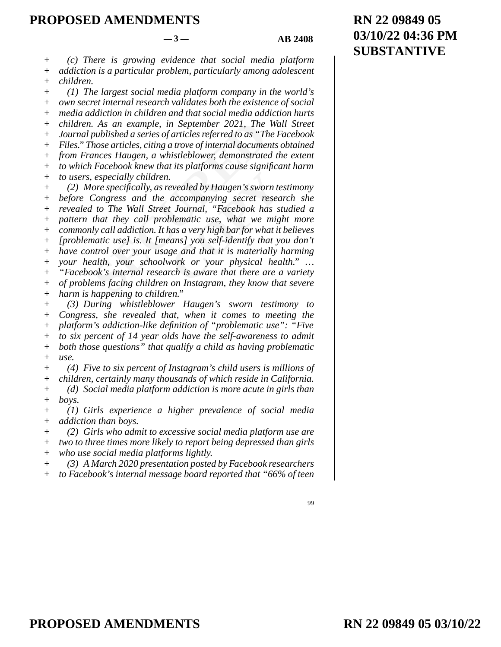#### $-3$  — **AB 2408**

99

*(c) There is growing evidence that social media platform addiction is a particular problem, particularly among adolescent children.*  +  $+$ +

*(1) The largest social media platform company in the world's own secret internal research validates both the existence of social media addiction in children and that social media addiction hurts children. As an example, in September 2021, The Wall Street Journal published a series of articles referred to as "The Facebook Files." Those articles, citing a trove of internal documents obtained from Frances Haugen, a whistleblower, demonstrated the extent to which Facebook knew that its platforms cause significant harm to users, especially children.*   $+$  $+$ + + + +  $+$  $+$ +

As an example, in September 2021, The<br>published a series of articles referred to as "Th<br>hose articles, citing a trove of internal documer<br>ances Haugen, a whistleblower, demonstrate<br>Facebook knew that its platforms cause si evealed by Haugen's sworn te<br>accompanying secret researt Journal, "Facebook has sublematic use, what we mig<br>hematic use, what we mig<br>has a very high bar for what it<br>ans] you self-identify that your<br>ge and that it is materi *(2) More specifically, as revealed by Haugen's sworn testimony before Congress and the accompanying secret research she revealed to The Wall Street Journal, "Facebook has studied a pattern that they call problematic use, what we might more commonly call addiction. It has a very high bar for what it believes [problematic use] is. It [means] you self-identify that you don't have control over your usage and that it is materially harming your health, your schoolwork or your physical health." … "Facebook's internal research is aware that there are a variety of problems facing children on Instagram, they know that severe*   $+$ + + + +  $+$ + +  $+$ +

*harm is happening to children."*  +

*(3) During whistleblower Haugen's sworn testimony to Congress, she revealed that, when it comes to meeting the platform's addiction-like definition of "problematic use": "Five to six percent of 14 year olds have the self-awareness to admit both those questions" that qualify a child as having problematic use.*   $+$  $+$ +  $+$ +  $+$ 

*(4) Five to six percent of Instagram's child users is millions of children, certainly many thousands of which reside in California. (d) Social media platform addiction is more acute in girls than boys.*  + + + +

*(1) Girls experience a higher prevalence of social media addiction than boys.*   $+$ +

*(2) Girls who admit to excessive social media platform use are two to three times more likely to report being depressed than girls who use social media platforms lightly.*  + +  $+$ 

*(3) A March 2020 presentation posted by Facebook researchers to Facebook's internal message board reported that "66% of teen*  +  $+$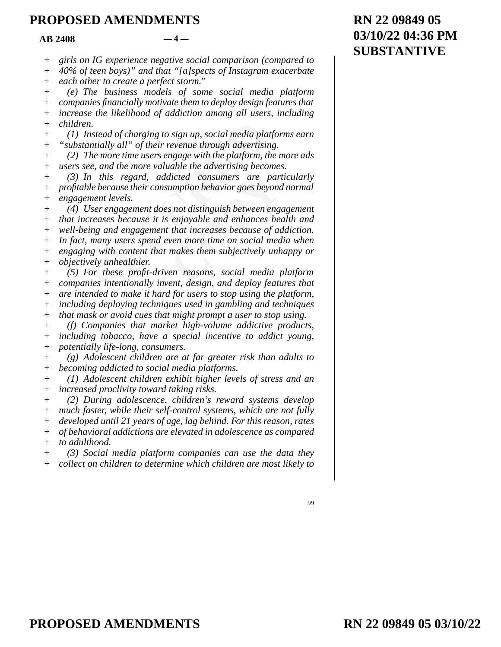$AR$  2408  $-4-$ 

*girls on IG experience negative social comparison (compared to*  +

*40% of teen boys)" and that "[a]spects of Instagram exacerbate*   $+$ 

*each other to create a perfect storm."*  +

*(e) The business models of some social media platform*  +

*companies financially motivate them to deploy design features that increase the likelihood of addiction among all users, including children.*   $^{+}$ +  $+$ 

*(1) Instead of charging to sign up, social media platforms earn "substantially all" of their revenue through advertising.*   $+$ +

*(2) The more time users engage with the platform, the more ads users see, and the more valuable the advertising becomes.*   $+$  $+$ 

stead of charging to sign up, social media plantially all" of their revenue through advertisine<br>the more time users engage with the platform, the more time users engage with the platform, the equal the more valuable the ad licted consumers are parally<br>
umption behavior goes beyond<br>
s not distinguish between eng<br>
enjoyable and enhances hear<br>
that increases because of ac<br>
wen more time on social med<br>
makes them subjectively unh<br>
en reasons, so *(3) In this regard, addicted consumers are particularly profitable because their consumption behavior goes beyond normal engagement levels.*  +  $+$ +

*(4) User engagement does not distinguish between engagement that increases because it is enjoyable and enhances health and*  + +

*well-being and engagement that increases because of addiction.*  +

*In fact, many users spend even more time on social media when engaging with content that makes them subjectively unhappy or objectively unhealthier.*   $+$ + +

*(5) For these profit-driven reasons, social media platform companies intentionally invent, design, and deploy features that are intended to make it hard for users to stop using the platform, including deploying techniques used in gambling and techniques*   $+$ + + +

*that mask or avoid cues that might prompt a user to stop using.*   $+$ 

*(f) Companies that market high-volume addictive products,*  +

*including tobacco, have a special incentive to addict young, potentially life-long, consumers.*   $+$ +

*(g) Adolescent children are at far greater risk than adults to becoming addicted to social media platforms.*   $+$ +

*(1) Adolescent children exhibit higher levels of stress and an increased proclivity toward taking risks.*   $+$ +

*(2) During adolescence, children's reward systems develop much faster, while their self-control systems, which are not fully developed until 21 years of age, lag behind. For this reason, rates of behavioral addictions are elevated in adolescence as compared to adulthood.*  +  $+$ +  $+$ +

*(3) Social media platform companies can use the data they collect on children to determine which children are most likely to*   $+$ +

# **RN 22 09849 05 03/10/22 04:36 PM SUBSTANTIVE**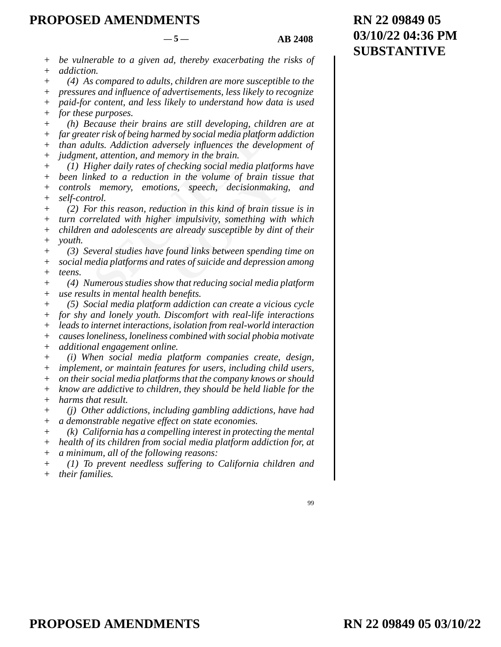+ +  $+$ +  $^{+}$ + +  $+$ +  $+$  $+$ +  $+$ + + + + + + + + + + + + +  $+$ +  $+$ + + + +  $+$ +

Exause their brains are still developing, chilver risk of being harmed by social media platfor<br>the risk of being harmed by social media platfor<br>that is. Addiction adversely influences the devert,<br>attention, and memory in t in the volume of brain tis.<br>
ns, speech, decisionmakin<br>
ction in this kind of brain tis.<br> **COPY**<br> *COPY*<br> *COPY*<br> *COPY*<br> *COPY*<br> *COPY*<br> *COPY*<br> *COPY*<br> *COPY*<br> *COPY*<br> *COPY*<br> *COPY*<br> *COPY*<br> *COPY*<br> *COPY*<br> *COPY*<br> *COP be vulnerable to a given ad, thereby exacerbating the risks of addiction. (4) As compared to adults, children are more susceptible to the pressures and influence of advertisements, less likely to recognize paid-for content, and less likely to understand how data is used for these purposes. (h) Because their brains are still developing, children are at far greater risk of being harmed by social media platform addiction than adults. Addiction adversely influences the development of judgment, attention, and memory in the brain. (1) Higher daily rates of checking social media platforms have been linked to a reduction in the volume of brain tissue that controls memory, emotions, speech, decisionmaking, and self-control. (2) For this reason, reduction in this kind of brain tissue is in turn correlated with higher impulsivity, something with which children and adolescents are already susceptible by dint of their youth. (3) Several studies have found links between spending time on social media platforms and rates of suicide and depression among teens. (4) Numerous studies show that reducing social media platform use results in mental health benefits. (5) Social media platform addiction can create a vicious cycle for shy and lonely youth. Discomfort with real-life interactions leads to internet interactions, isolation from real-world interaction causes loneliness, loneliness combined with social phobia motivate additional engagement online. (i) When social media platform companies create, design, implement, or maintain features for users, including child users, on their social media platforms that the company knows or should know are addictive to children, they should be held liable for the harms that result. (j) Other addictions, including gambling addictions, have had a demonstrable negative effect on state economies. (k) California has a compelling interest in protecting the mental*   $-5 -$  **AB 2408** 

*health of its children from social media platform addiction for, at a minimum, all of the following reasons:*  + +  $+$ 

*(1) To prevent needless suffering to California children and their families.*  +  $+$ 

99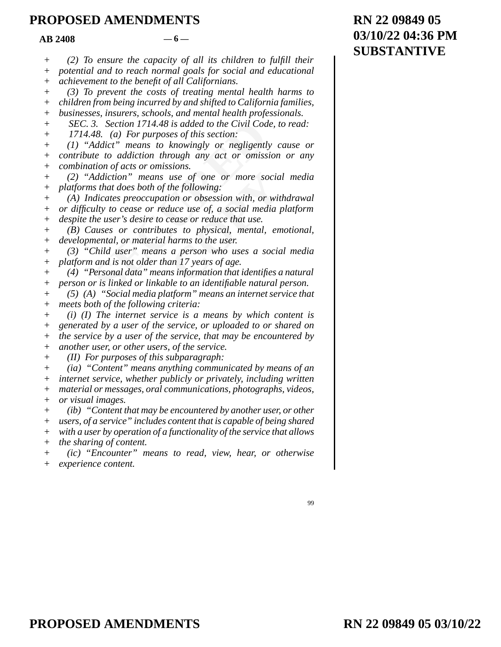$AB$  2408  $-6$ 

3. Section 1714.48 is added to the Civil Cod<br>48. (a) For purposes of this section:<br>Addict" means to knowingly or negligent!<br>te to addiction through any act or omiss<br>tion of acts or omissions.<br>Addiction" means use of one or use of one or more socia<br>the following:<br>ion or obsession with, or wit<br>luce use of, a social media p<br>rease or reduce that use.<br>es to physical, mental, em<br>harms to the user.<br>a person who uses a socia<br>an 17 years of age.<br>us i *(2) To ensure the capacity of all its children to fulfill their potential and to reach normal goals for social and educational achievement to the benefit of all Californians. (3) To prevent the costs of treating mental health harms to children from being incurred by and shifted to California families, businesses, insurers, schools, and mental health professionals. SEC. 3. Section 1714.48 is added to the Civil Code, to read: 1714.48. (a) For purposes of this section: (1) "Addict" means to knowingly or negligently cause or contribute to addiction through any act or omission or any combination of acts or omissions. (2) "Addiction" means use of one or more social media platforms that does both of the following: (A) Indicates preoccupation or obsession with, or withdrawal or difficulty to cease or reduce use of, a social media platform despite the user's desire to cease or reduce that use. (B) Causes or contributes to physical, mental, emotional, developmental, or material harms to the user. (3) "Child user" means a person who uses a social media platform and is not older than 17 years of age. (4) "Personal data" means information that identifies a natural*   $+$  $+$ +  $+$  $^{+}$ +  $+$  $+$  $^{+}$  $+$ + +  $+$ + + + +  $^{+}$ + +  $+$ 

*person or is linked or linkable to an identifiable natural person. (5) (A) "Social media platform" means an internet service that*  + +

*meets both of the following criteria:*   $+$ 

*(i) (I) The internet service is a means by which content is generated by a user of the service, or uploaded to or shared on the service by a user of the service, that may be encountered by another user, or other users, of the service.*   $+$ +  $+$ +

*(II) For purposes of this subparagraph:*  +

*(ia) "Content" means anything communicated by means of an*  +

*internet service, whether publicly or privately, including written material or messages, oral communications, photographs, videos, or visual images.*  + + +

*(ib) "Content that may be encountered by another user, or other users, of a service" includes content that is capable of being shared with a user by operation of a functionality of the service that allows the sharing of content.*   $+$ +  $+$ +

*(ic) "Encounter" means to read, view, hear, or otherwise experience content.*   $+$ +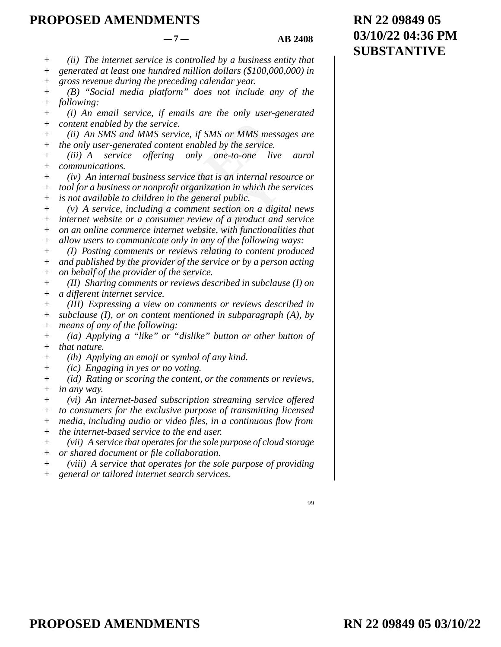#### $-7 -$  **AB 2408**

**RN 22 09849 05**

**SUBSTANTIVE**

**03/10/22 04:36 PM**

*(ii) The internet service is controlled by a business entity that*   $+$ 

*generated at least one hundred million dollars (\$100,000,000) in*   $+$ 

*gross revenue during the preceding calendar year.*  +

*(B) "Social media platform" does not include any of the following:*   $+$  $^{+}$ 

*(i) An email service, if emails are the only user-generated content enabled by the service.*  + +

*(ii) An SMS and MMS service, if SMS or MMS messages are the only user-generated content enabled by the service.*   $+$ +

*(iii) A service offering only one-to-one live aural communications.*   $+$  $+$ 

enabled by the service.<br>
In SMS and MMS service, if SMS or MMS m<br>
user-generated content enabled by the servic<br>
service offering only one-to-one<br>
ications.<br>
In internal business service that is an internal<br>
a business or n Subsequent that is an internal resservice that is an internal resservent point of the peneral public.<br>
In the general public.<br>
In comment section on a diginer review of a product and<br>
previews relating to content per of th *(iv) An internal business service that is an internal resource or tool for a business or nonprofit organization in which the services is not available to children in the general public.*  +  $+$ +

*(v) A service, including a comment section on a digital news*   $+$ 

*internet website or a consumer review of a product and service*  +

*on an online commerce internet website, with functionalities that*  +

*allow users to communicate only in any of the following ways:*  +

*(I) Posting comments or reviews relating to content produced and published by the provider of the service or by a person acting*  + +

*on behalf of the provider of the service.*  +

*(II) Sharing comments or reviews described in subclause (I) on a different internet service.*  + +

*(III) Expressing a view on comments or reviews described in subclause (I), or on content mentioned in subparagraph (A), by means of any of the following:*   $+$  $+$ +

*(ia) Applying a "like" or "dislike" button or other button of that nature.*   $+$ +

*(ib) Applying an emoji or symbol of any kind.*   $+$ 

*(ic) Engaging in yes or no voting.*  +

(*id*) Rating or scoring the content, or the comments or reviews, *in any way.*  + +

*(vi) An internet-based subscription streaming service offered to consumers for the exclusive purpose of transmitting licensed*  +  $+$ 

*media, including audio or video files, in a continuous flow from*  +

*the internet-based service to the end user.*  +

*(vii) A service that operates for the sole purpose of cloud storage*  +

*or shared document or file collaboration.*   $+$ 

*(viii) A service that operates for the sole purpose of providing*  +

*general or tailored internet search services.*   $+$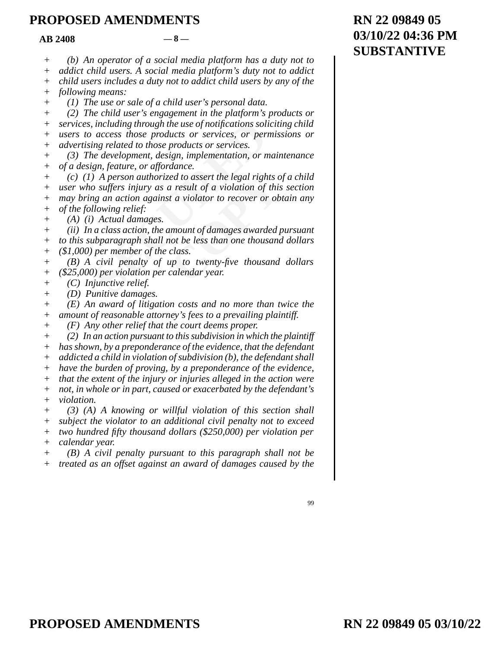$AB \, 2408$   $-8$  —

*(b) An operator of a social media platform has a duty not to*   $+$ 

*addict child users. A social media platform's duty not to addict*   $+$ 

*child users includes a duty not to addict child users by any of the*  +

*following means:*  +

*(1) The use or sale of a child user's personal data.*  +

*(2) The child user's engagement in the platform's products or*  +

*services, including through the use of notifications soliciting child users to access those products or services, or permissions or*   $+$ +

*advertising related to those products or services.*  +

*(3) The development, design, implementation, or maintenance of a design, feature, or affordance.*   $+$  $+$ 

including through the use of notifications solustications contains are products or services, or perially related to those products or services.<br>
See development, design, implementation, or n gn, feature, or affordance.<br>
A *Example 10 assert the legal rights of*<br>*COPY COPY COPY COPY COPY COPY COPY COPY COPY COPY COPY COPY COPY COPY COPY COPY COPY COPY COPY COPY COPY COPY COPY COPY COPY COPY (c) (1) A person authorized to assert the legal rights of a child user who suffers injury as a result of a violation of this section may bring an action against a violator to recover or obtain any of the following relief:*  +  $+$ + +

*(A) (i) Actual damages.*  +

*(ii) In a class action, the amount of damages awarded pursuant*  +

*to this subparagraph shall not be less than one thousand dollars (\$1,000) per member of the class.*   $+$ +

*(B) A civil penalty of up to twenty-five thousand dollars (\$25,000) per violation per calendar year.*  + +

*(C) Injunctive relief.*  +

*(D) Punitive damages.*   $+$ 

*(E) An award of litigation costs and no more than twice the amount of reasonable attorney's fees to a prevailing plaintiff.*   $^{+}$ +

*(F) Any other relief that the court deems proper.*  +

*(2) In an action pursuant to this subdivision in which the plaintiff*   $+$ 

*has shown, by a preponderance of the evidence, that the defendant addicted a child in violation of subdivision (b), the defendant shall*  + +

*have the burden of proving, by a preponderance of the evidence,*  +

*that the extent of the injury or injuries alleged in the action were not, in whole or in part, caused or exacerbated by the defendant's violation.*  + + +

*(3) (A) A knowing or willful violation of this section shall subject the violator to an additional civil penalty not to exceed two hundred fifty thousand dollars (\$250,000) per violation per*   $+$ +  $+$ 

*calendar year.*  +  $+$ 

*(B) A civil penalty pursuant to this paragraph shall not be treated as an offset against an award of damages caused by the*  +

99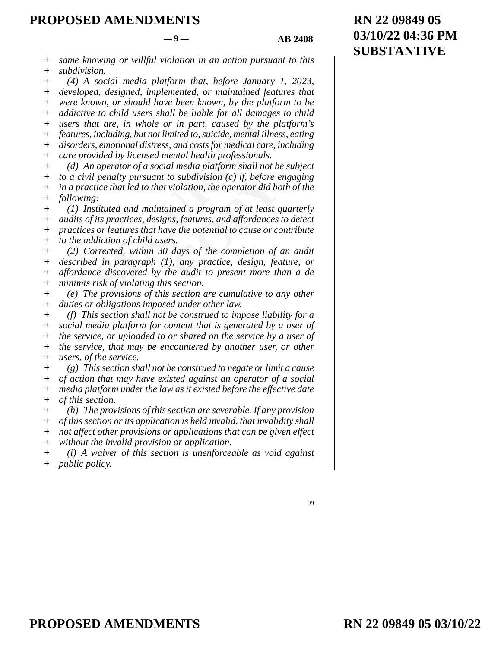#### $-9 - 4B = 2408$

*same knowing or willful violation in an action pursuant to this subdivision.*  +  $+$ 

*(4) A social media platform that, before January 1, 2023, developed, designed, implemented, or maintained features that were known, or should have been known, by the platform to be addictive to child users shall be liable for all damages to child users that are, in whole or in part, caused by the platform's features, including, but not limited to, suicide, mental illness, eating disorders, emotional distress, and costs for medical care, including*   $+$ +  $^{+}$ + + + +

*care provided by licensed mental health professionals.*   $+$ 

*(d) An operator of a social media platform shall not be subject*   $+$ 

*to a civil penalty pursuant to subdivision (c) if, before engaging in a practice that led to that violation, the operator did both of the following:*  +  $+$ +

*(1) Instituted and maintained a program of at least quarterly audits of its practices, designs, features, and affordances to detect practices or features that have the potential to cause or contribute to the addiction of child users.*  + + +  $+$ 

at are, in whole or in part, caused by the<br>including, but not limited to, suicide, mental ill<br>s, emotional distress, and costs for medical car<br>wided by licensed mental health professionals<br>n operator of a social media plat *co subdivision (c) if, before e*<br>violation, the operator did bo<br>ined a program of at least q<br>ns, features, and affordances i<br>ve the potential to cause or co<br>rs.<br>days of the completion of a<br>), any practice, design, fea<br>he *(2) Corrected, within 30 days of the completion of an audit described in paragraph (1), any practice, design, feature, or affordance discovered by the audit to present more than a de minimis risk of violating this section.*  + + + +

*(e) The provisions of this section are cumulative to any other duties or obligations imposed under other law.*  +  $+$ 

*(f) This section shall not be construed to impose liability for a social media platform for content that is generated by a user of the service, or uploaded to or shared on the service by a user of the service, that may be encountered by another user, or other users, of the service.*   $+$ +  $+$ + +

*(g) This section shall not be construed to negate or limit a cause of action that may have existed against an operator of a social media platform under the law as it existed before the effective date of this section.*  + + + +

*(h) The provisions of this section are severable. If any provision of this section or its application is held invalid, that invalidity shall not affect other provisions or applications that can be given effect without the invalid provision or application.*   $+$  $+$ + +

*(i) A waiver of this section is unenforceable as void against public policy.*   $+$ +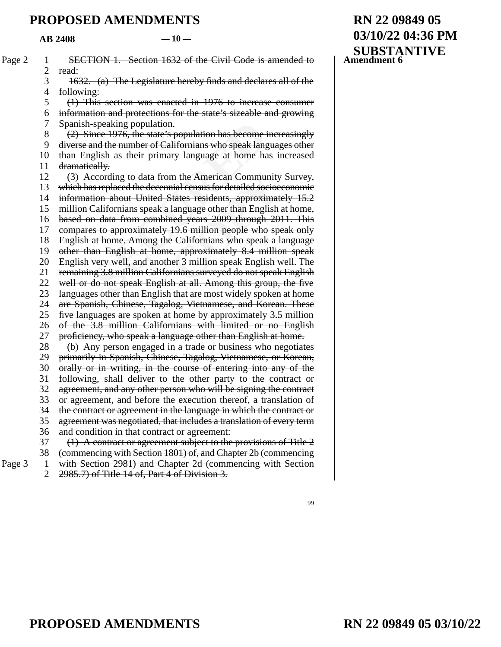#### $AB$  2408  $-10$

| Page 2 | 1              | SECTION 1. Section 1632 of the Civil Code is amended to             |
|--------|----------------|---------------------------------------------------------------------|
|        | $\overline{c}$ | read:                                                               |
|        | 3              | 1632. (a) The Legislature hereby finds and declares all of the      |
|        | $\overline{4}$ | following:                                                          |
|        | 5              | (1) This section was enacted in 1976 to increase consumer           |
|        | 6              | information and protections for the state's sizeable and growing    |
|        | 7              | Spanish-speaking population.                                        |
|        | $8\,$          | (2) Since 1976, the state's population has become increasingly      |
|        | 9              | diverse and the number of Californians who speak languages other    |
|        | 10             | than English as their primary language at home has increased        |
|        | 11             | dramatically.                                                       |
|        | 12             | (3) According to data from the American Community Survey,           |
|        | 13             | which has replaced the decennial census for detailed socioeconomic  |
|        | 14             | information about United States residents, approximately 15.2       |
|        | 15             | million Californians speak a language other than English at home,   |
|        | 16             | based on data from combined years 2009 through 2011. This           |
|        | 17             | compares to approximately 19.6 million people who speak only        |
|        | 18             | English at home. Among the Californians who speak a language        |
|        | 19             | other than English at home, approximately 8.4 million speak         |
|        | 20             | English very well, and another 3 million speak English well. The    |
|        | 21             | remaining 3.8 million Californians surveyed do not speak English    |
|        | 22             | well or do not speak English at all. Among this group, the five     |
|        | 23             | languages other than English that are most widely spoken at home    |
|        | 24             | are Spanish, Chinese, Tagalog, Vietnamese, and Korean. These        |
|        | 25             | five languages are spoken at home by approximately 3.5 million      |
|        | 26             | of the 3.8 million Californians with limited or no English          |
|        | 27             | proficiency, who speak a language other than English at home.       |
|        | 28             | (b) Any person engaged in a trade or business who negotiates        |
|        | 29             | primarily in Spanish, Chinese, Tagalog, Vietnamese, or Korean,      |
|        | 30             | orally or in writing, in the course of entering into any of the     |
|        | 31             | following, shall deliver to the other party to the contract or      |
|        | 32             | agreement, and any other person who will be signing the contract    |
|        | 33             | or agreement, and before the execution thereof, a translation of    |
|        | 34             | the contract or agreement in the language in which the contract or  |
|        | 35             | agreement was negotiated, that includes a translation of every term |
|        | 36             | and condition in that contract or agreement:                        |
|        | 37             | $(1)$ A contract or agreement subject to the provisions of Title 2  |
|        | 38             | (commencing with Section 1801) of, and Chapter 2b (commencing       |
| Page 3 | $\mathbf{1}$   | with Section 2981) and Chapter 2d (commencing with Section          |
|        | $\overline{2}$ | 2985.7) of Title 14 of, Part 4 of Division 3.                       |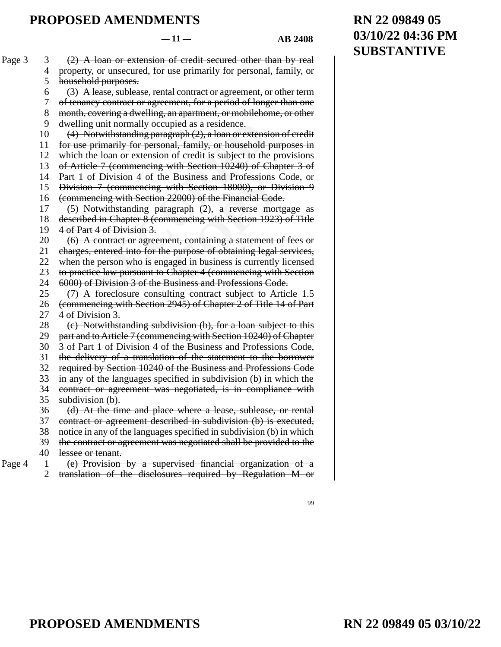99

(2) A loan or extension of credit secured other than by real property, or unsecured, for use primarily for personal, family, or household purposes. Page 3 3 4 5

- (3) A lease, sublease, rental contract or agreement, or other term 6
- of tenancy contract or agreement, for a period of longer than one 7
- month, covering a dwelling, an apartment, or mobilehome, or other 8
- dwelling unit normally occupied as a residence. 9
- (4) Notwithstanding paragraph (2), a loan or extension of credit 10
- for use primarily for personal, family, or household purposes in 11
- which the loan or extension of credit is subject to the provisions 12
- of Article 7 (commencing with Section 10240) of Chapter 3 of 13
- Part 1 of Division 4 of the Business and Professions Code, or 14
- Division 7 (commencing with Section 18000), or Division 9 15
- (commencing with Section 22000) of the Financial Code. 16
- (5) Notwithstanding paragraph (2), a reverse mortgage as 17
- If unit normally occupied as a residence.<br>
otwithstanding paragraph (2), a loan or extensi<br>
primarily for personal, family, or household<br>
he loan or extension of credit is subject to the<br>
le 7 (commencing with Section 1024 **Business and Professions C**<br>with Section 18000), or Divestory<br>22000) of the Financial Code<br>agraph (2), a reverse mort<br>immencing with Section 1923)<br>ent, containing a statement of<br>purpose of obtaining legal s<br>aged in busine described in Chapter 8 (commencing with Section 1923) of Title 4 of Part 4 of Division 3. 18 19
- (6) A contract or agreement, containing a statement of fees or 20
- charges, entered into for the purpose of obtaining legal services, 21
- when the person who is engaged in business is currently licensed 22
- to practice law pursuant to Chapter 4 (commencing with Section 23
- 6000) of Division 3 of the Business and Professions Code. 24
- (7) A foreclosure consulting contract subject to Article 1.5 25
- (commencing with Section 2945) of Chapter 2 of Title 14 of Part 26 27
- 4 of Division 3. (c) Notwithstanding subdivision (b), for a loan subject to this 28
- part and to Article 7 (commencing with Section 10240) of Chapter 29
- 3 of Part 1 of Division 4 of the Business and Professions Code, 30
- the delivery of a translation of the statement to the borrower 31
- required by Section 10240 of the Business and Professions Code 32
- in any of the languages specified in subdivision (b) in which the 33
- contract or agreement was negotiated, is in compliance with 34
- subdivision (b). 35
- (d) At the time and place where a lease, sublease, or rental 36
- contract or agreement described in subdivision (b) is executed, 37
- notice in any of the languages specified in subdivision (b) in which 38
- the contract or agreement was negotiated shall be provided to the 39
- lessee or tenant. 40
- (e) Provision by a supervised financial organization of a Page  $4 \quad 1$ 
	- translation of the disclosures required by Regulation M or 2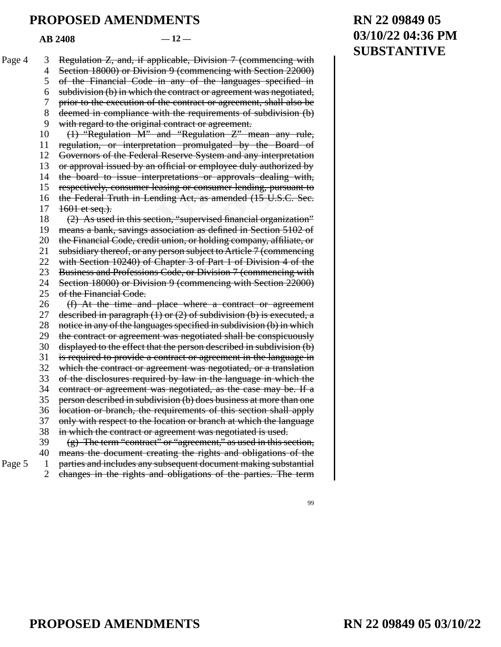$AR$  2408  $-12-$ 

ard to the original contract or agreement.<br>
Regulation M" and "Regulation Z" mean<br>
From, or interpretation promulgated by the<br>
prs of the Federal Reserve System and any in<br>
wal issued by an official or employee duly au<br>
rd etations or approvals dealing<br>ing or consumer lending, pur<br>ing Act, as amended (15 U.S<br>in, "supervised financial organ<br>eiation as defined in Section<br>ion, or holding company, aff<br>rson subject to Article 7 (commer<br>ode, or Di Regulation Z, and, if applicable, Division 7 (commencing with Section 18000) or Division 9 (commencing with Section 22000) of the Financial Code in any of the languages specified in subdivision (b) in which the contract or agreement was negotiated, prior to the execution of the contract or agreement, shall also be deemed in compliance with the requirements of subdivision (b) with regard to the original contract or agreement. (1) "Regulation M" and "Regulation Z" mean any rule, regulation, or interpretation promulgated by the Board of Governors of the Federal Reserve System and any interpretation or approval issued by an official or employee duly authorized by the board to issue interpretations or approvals dealing with, respectively, consumer leasing or consumer lending, pursuant to the Federal Truth in Lending Act, as amended (15 U.S.C. Sec.  $1601$  et seq.). (2) As used in this section, "supervised financial organization" means a bank, savings association as defined in Section 5102 of the Financial Code, credit union, or holding company, affiliate, or subsidiary thereof, or any person subject to Article 7 (commencing with Section 10240) of Chapter 3 of Part 1 of Division 4 of the Business and Professions Code, or Division 7 (commencing with Section 18000) or Division 9 (commencing with Section 22000) of the Financial Code. (f) At the time and place where a contract or agreement described in paragraph  $(1)$  or  $(2)$  of subdivision  $(b)$  is executed, a notice in any of the languages specified in subdivision (b) in which the contract or agreement was negotiated shall be conspicuously displayed to the effect that the person described in subdivision (b) is required to provide a contract or agreement in the language in which the contract or agreement was negotiated, or a translation of the disclosures required by law in the language in which the contract or agreement was negotiated, as the case may be. If a person described in subdivision (b) does business at more than one location or branch, the requirements of this section shall apply only with respect to the location or branch at which the language in which the contract or agreement was negotiated is used. (g) The term "contract" or "agreement," as used in this section, means the document creating the rights and obligations of the parties and includes any subsequent document making substantial changes in the rights and obligations of the parties. The term Page 4 3 4 5 6 7 8 9 10 11 12 13 14 15 16 17 18 19 20 21 22 23 24 25 26 27 28 29 30 31 32 33 34 35 36 37 38 39 40 Page  $5 \quad 1$ 2

# **RN 22 09849 05 03/10/22 04:36 PM SUBSTANTIVE**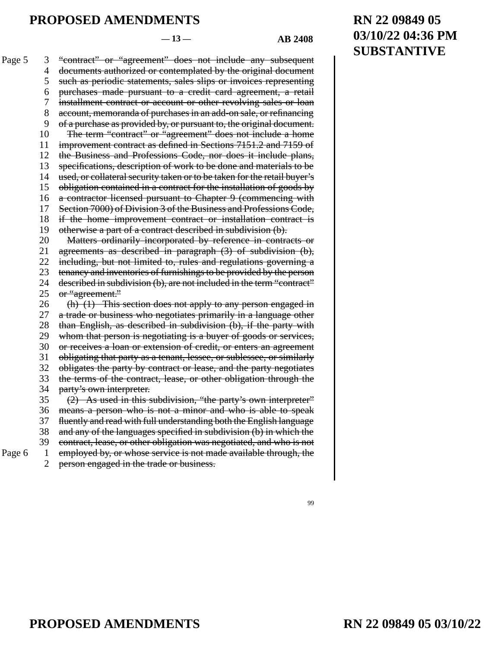#### $-13 - 4B \cdot 2408$

**RN 22 09849 05**

**SUBSTANTIVE**

**03/10/22 04:36 PM**

thase as provided by, or pursuant to, the origina<br>
Frm "contract" or "agreement" does not inch<br>
ment contract as defined in Sections 7151.2 *i*<br>
iness and Professions Code, nor does it inc<br>
tions, description of work to be ken or to be taken for the retaintract for the installation of g<br>ant to Chapter 9 (commenci<br>of the Business and Profession<br>contract or installation contract or installation contract or installation (b)<br>orated by reference "contract" or "agreement" does not include any subsequent documents authorized or contemplated by the original document such as periodic statements, sales slips or invoices representing purchases made pursuant to a credit card agreement, a retail installment contract or account or other revolving sales or loan account, memoranda of purchases in an add-on sale, or refinancing of a purchase as provided by, or pursuant to, the original document. The term "contract" or "agreement" does not include a home improvement contract as defined in Sections 7151.2 and 7159 of the Business and Professions Code, nor does it include plans, specifications, description of work to be done and materials to be used, or collateral security taken or to be taken for the retail buyer's obligation contained in a contract for the installation of goods by a contractor licensed pursuant to Chapter 9 (commencing with Section 7000) of Division 3 of the Business and Professions Code, if the home improvement contract or installation contract is otherwise a part of a contract described in subdivision (b). Matters ordinarily incorporated by reference in contracts or agreements as described in paragraph (3) of subdivision (b), including, but not limited to, rules and regulations governing a tenancy and inventories of furnishings to be provided by the person described in subdivision (b), are not included in the term "contract" or "agreement." (h) (1) This section does not apply to any person engaged in a trade or business who negotiates primarily in a language other than English, as described in subdivision (b), if the party with whom that person is negotiating is a buyer of goods or services, or receives a loan or extension of credit, or enters an agreement obligating that party as a tenant, lessee, or sublessee, or similarly obligates the party by contract or lease, and the party negotiates the terms of the contract, lease, or other obligation through the party's own interpreter. (2) As used in this subdivision, "the party's own interpreter" means a person who is not a minor and who is able to speak fluently and read with full understanding both the English language and any of the languages specified in subdivision (b) in which the contract, lease, or other obligation was negotiated, and who is not employed by, or whose service is not made available through, the Page 5 3 4 5 6 7 8 9 10 11 12 13 14 15 16 17 18 19 20 21 22 23 24 25 26 27 28 29 30 31 32 33 34 35 36 37 38 39

Page  $6 \quad 1$ 

person engaged in the trade or business. 2